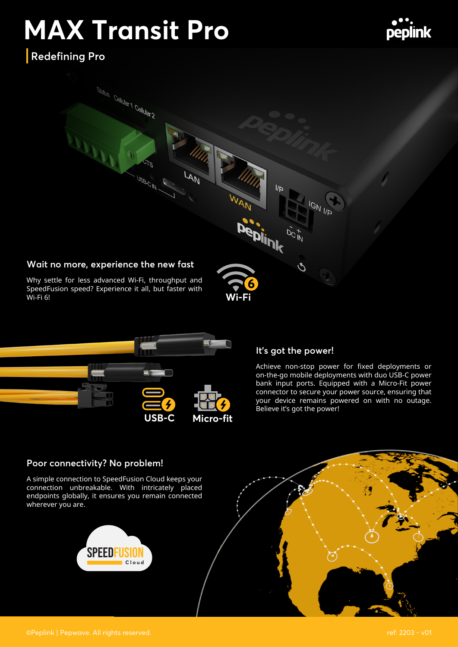# **MAX Transit Pro**



**Redefining Pro**





#### **It's got the power!**

Achieve non-stop power for fixed deployments or on-the-go mobile deployments with duo USB-C power bank input ports. Equipped with a Micro-Fit power connector to secure your power source, ensuring that your device remains powered on with no outage. Believe it's got the power!

#### **Poor connectivity? No problem!**

A simple connection to SpeedFusion Cloud keeps your connection unbreakable. With intricately placed endpoints globally, it ensures you remain connected wherever you are.



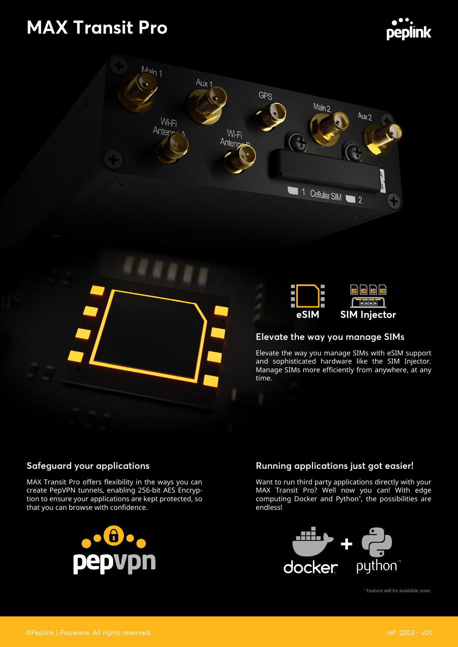# **MAX Transit Pro**







#### **Elevate the way you manage SIMs**

Elevate the way you manage SIMs with eSIM support and sophisticated hardware like the SIM Injector. Manage SIMs more efficiently from anywhere, at any time.

#### **Safeguard your applications**

MAX Transit Pro offers flexibility in the ways you can create PepVPN tunnels, enabling 256-bit AES Encryption to ensure your applications are kept protected, so that you can browse with confidence.



#### **Running applications just got easier!**

Want to run third party applications directly with your MAX Transit Pro? Well now you can! With edge computing Docker and Python\* , the possibilities are endless!



\* Feature will be available soon.

peplink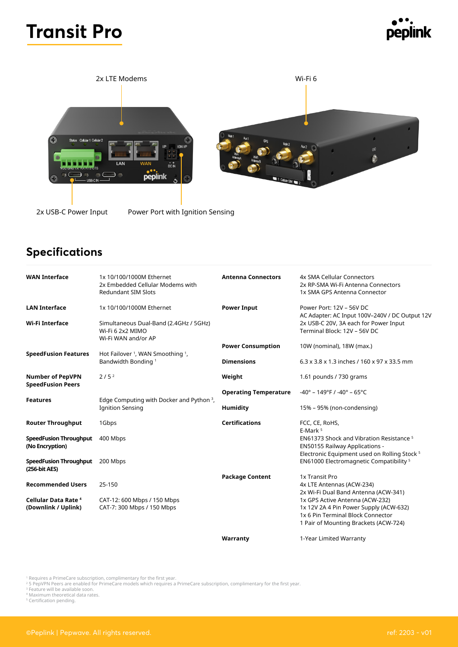## **Transit Pro**





### **Specifications**

| <b>WAN Interface</b>                                | 1x 10/100/1000M Ethernet<br>2x Embedded Cellular Modems with<br><b>Redundant SIM Slots</b> | <b>Antenna Connectors</b>                                             | 4x SMA Cellular Connectors<br>2x RP-SMA Wi-Fi Antenna Connectors<br>1x SMA GPS Antenna Connector                                                        |
|-----------------------------------------------------|--------------------------------------------------------------------------------------------|-----------------------------------------------------------------------|---------------------------------------------------------------------------------------------------------------------------------------------------------|
| <b>LAN Interface</b>                                | 1x 10/100/1000M Ethernet                                                                   | <b>Power Input</b>                                                    | Power Port: 12V - 56V DC<br>AC Adapter: AC Input 100V-240V / DC Output 12V                                                                              |
| Wi-Fi Interface                                     | Simultaneous Dual-Band (2.4GHz / 5GHz)<br>Wi-Fi 6 2x2 MIMO<br>Wi-Fi WAN and/or AP          | 2x USB-C 20V, 3A each for Power Input<br>Terminal Block: 12V - 56V DC |                                                                                                                                                         |
|                                                     |                                                                                            | <b>Power Consumption</b>                                              | 10W (nominal), 18W (max.)                                                                                                                               |
| <b>SpeedFusion Features</b>                         | Hot Failover <sup>1</sup> , WAN Smoothing <sup>1</sup> ,<br>Bandwidth Bonding <sup>1</sup> | <b>Dimensions</b>                                                     | 6.3 x 3.8 x 1.3 inches / 160 x 97 x 33.5 mm                                                                                                             |
| <b>Number of PepVPN</b><br><b>SpeedFusion Peers</b> | 2/5 <sup>2</sup>                                                                           | Weight                                                                | 1.61 pounds / 730 grams                                                                                                                                 |
|                                                     |                                                                                            | <b>Operating Temperature</b>                                          | $-40^{\circ}$ – 149°F / -40° – 65°C                                                                                                                     |
| <b>Features</b>                                     | Edge Computing with Docker and Python <sup>3</sup> ,<br><b>Ignition Sensing</b>            | <b>Humidity</b>                                                       | 15% - 95% (non-condensing)                                                                                                                              |
| <b>Router Throughput</b>                            | 1Gbps                                                                                      | <b>Certifications</b>                                                 | FCC, CE, RoHS,<br>E-Mark <sup>5</sup>                                                                                                                   |
| <b>SpeedFusion Throughput</b><br>(No Encryption)    | 400 Mbps                                                                                   |                                                                       | EN61373 Shock and Vibration Resistance <sup>5</sup><br><b>EN50155 Railway Applications -</b><br>Electronic Equipment used on Rolling Stock <sup>5</sup> |
| <b>SpeedFusion Throughput</b><br>(256-bit AES)      | 200 Mbps                                                                                   |                                                                       | EN61000 Electromagnetic Compatibility <sup>5</sup>                                                                                                      |
| <b>Recommended Users</b>                            | 25-150                                                                                     | <b>Package Content</b>                                                | 1x Transit Pro<br>4x LTE Antennas (ACW-234)<br>2x Wi-Fi Dual Band Antenna (ACW-341)                                                                     |
| Cellular Data Rate <sup>4</sup>                     | CAT-12: 600 Mbps / 150 Mbps                                                                |                                                                       | 1x GPS Active Antenna (ACW-232)                                                                                                                         |
| (Downlink / Uplink)                                 | CAT-7: 300 Mbps / 150 Mbps                                                                 |                                                                       | 1x 12V 2A 4 Pin Power Supply (ACW-632)<br>1x 6 Pin Terminal Block Connector<br>1 Pair of Mounting Brackets (ACW-724)                                    |

**Warranty** 

1-Year Limited Warranty

<sup>1</sup> Requires a PrimeCare subscription, complimentary for the first year.<br><sup>2</sup> 5 PepVPN Peers are enabled for PrimeCare models which requires a PrimeCare subscription, complimentary for the first year.<br><sup>3</sup> Feature will be a